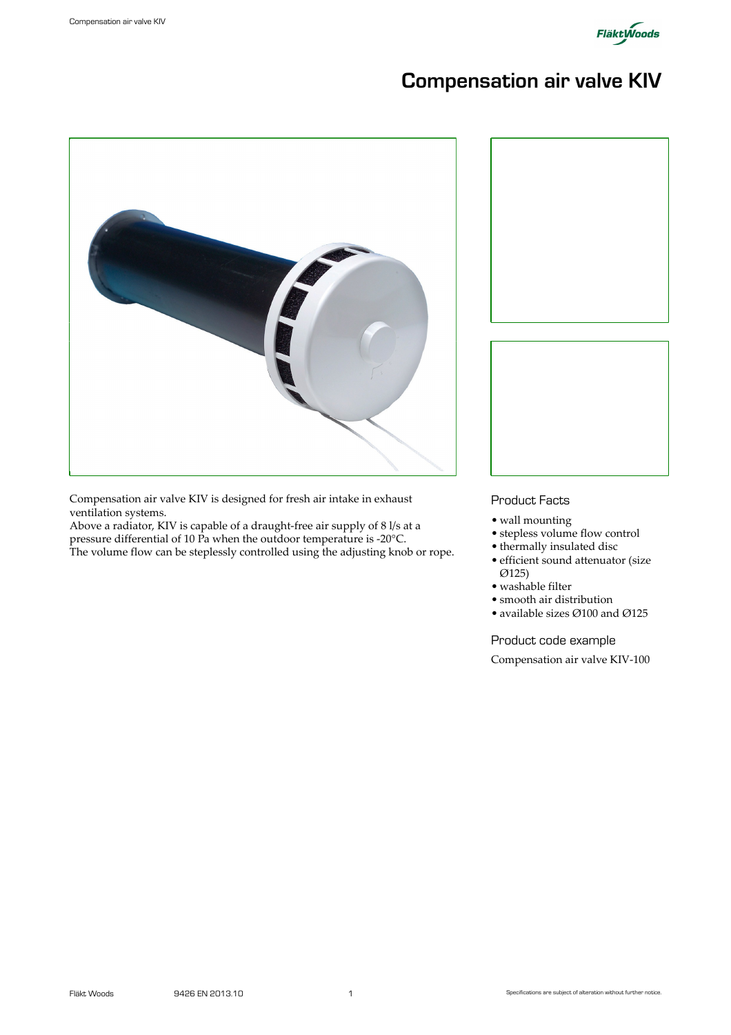

# Compensation air valve KIV



Compensation air valve KIV is designed for fresh air intake in exhaust ventilation systems.

Above a radiator, KIV is capable of a draught-free air supply of 8 l/s at a pressure differential of 10 Pa when the outdoor temperature is -20°C. The volume flow can be steplessly controlled using the adjusting knob or rope.



#### Product Facts

- wall mounting
- stepless volume flow control
- thermally insulated disc
- efficient sound attenuator (size Ø125)
- washable filter
- smooth air distribution
- available sizes Ø100 and Ø125

#### Product code example

Compensation air valve KIV-100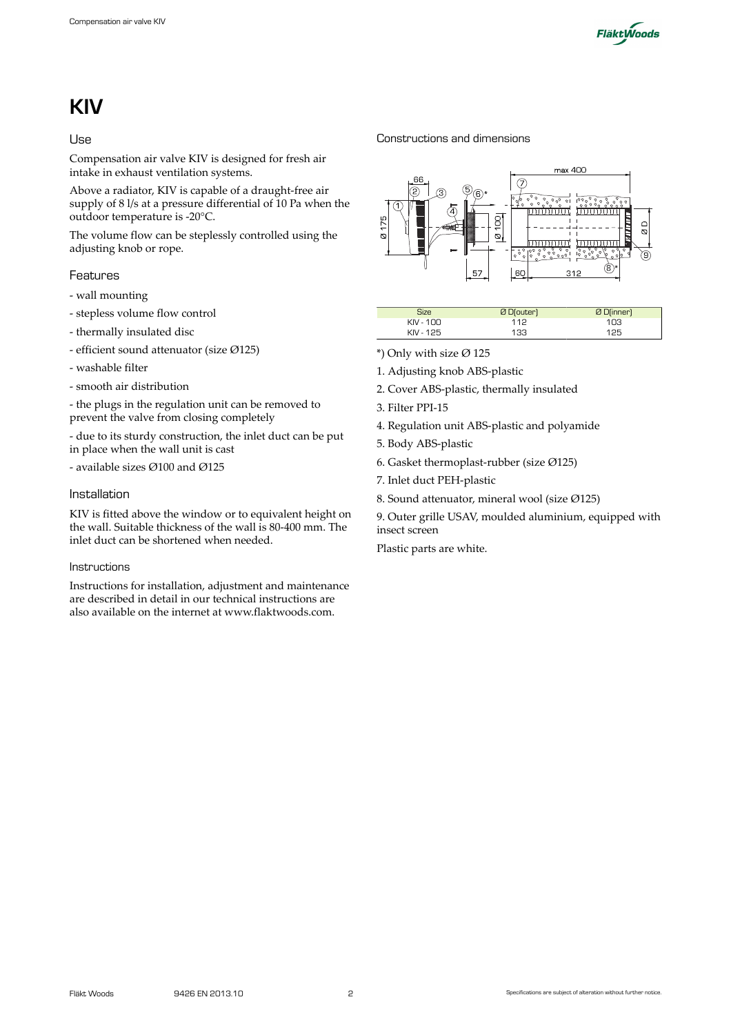

# KIV

#### Use

Compensation air valve KIV is designed for fresh air intake in exhaust ventilation systems.

Above a radiator, KIV is capable of a draught-free air supply of 8 l/s at a pressure differential of 10 Pa when the outdoor temperature is -20°C.

The volume flow can be steplessly controlled using the adjusting knob or rope.

### Features

- wall mounting
- stepless volume flow control
- thermally insulated disc
- efficient sound attenuator (size Ø125)
- washable filter
- smooth air distribution

- the plugs in the regulation unit can be removed to prevent the valve from closing completely

- due to its sturdy construction, the inlet duct can be put in place when the wall unit is cast

- available sizes Ø100 and Ø125

#### Installation

KIV is fitted above the window or to equivalent height on the wall. Suitable thickness of the wall is 80-400 mm. The inlet duct can be shortened when needed.

#### Instructions

Instructions for installation, adjustment and maintenance are described in detail in our technical instructions are also available on the internet at www.flaktwoods.com.

Constructions and dimensions



| Size      | Ø D(outer) | Ø D(inner) |
|-----------|------------|------------|
| KIV - 100 | 112        | 103        |
| KIV - 125 | 133        | 125        |

- \*) Only with size  $\varnothing$  125
- 1. Adjusting knob ABS-plastic
- 2. Cover ABS-plastic, thermally insulated
- 3. Filter PPI-15
- 4. Regulation unit ABS-plastic and polyamide
- 5. Body ABS-plastic
- 6. Gasket thermoplast-rubber (size Ø125)
- 7. Inlet duct PEH-plastic
- 8. Sound attenuator, mineral wool (size Ø125)
- 9. Outer grille USAV, moulded aluminium, equipped with insect screen

Plastic parts are white.